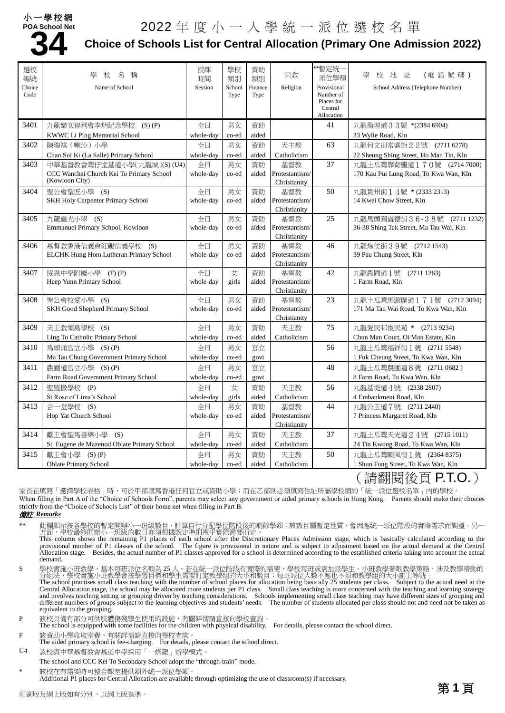### 小一學校網



# **34** <sup>2022</sup> 年度小一入學統一派位選校名單

## **Choice of Schools List for Central Allocation (Primary One Admission 2022)**

| 選校<br>編號 | 壆<br>稱<br>校<br>名                            | 授課<br>時間  | 學校<br>類別 | 資助<br>類別 | 宗教                             | **暫定統一<br>派位學額          | 校地址<br>(電話號碼)<br>壆                                                                                                                                                                                                                                                                                                                                                                               |
|----------|---------------------------------------------|-----------|----------|----------|--------------------------------|-------------------------|--------------------------------------------------------------------------------------------------------------------------------------------------------------------------------------------------------------------------------------------------------------------------------------------------------------------------------------------------------------------------------------------------|
| Choice   | Name of School                              | Session   | School   | Finance  | Religion                       | Provisional             | School Address (Telephone Number)                                                                                                                                                                                                                                                                                                                                                                |
| Code     |                                             |           | Type     | Type     |                                | Number of<br>Places for |                                                                                                                                                                                                                                                                                                                                                                                                  |
|          |                                             |           |          |          |                                | Central<br>Allocation   |                                                                                                                                                                                                                                                                                                                                                                                                  |
| 3401     | 九龍婦女福利會李炳紀念學校 (S)(P)                        | 全日        | 男女       | 資助       |                                | 41                      | 九龍衛理道33號 *(2384 6904)                                                                                                                                                                                                                                                                                                                                                                            |
|          | KWWC Li Ping Memorial School                | whole-day | co-ed    | aided    |                                |                         | 33 Wylie Road, Kln                                                                                                                                                                                                                                                                                                                                                                               |
| 3402     | 陳瑞祺 (喇沙)小學                                  | 全日        | 男女       | 資助       | 天主教                            | 63                      | 九龍何文田常盛街22號 (2711 6278)                                                                                                                                                                                                                                                                                                                                                                          |
|          | Chan Sui Ki (La Salle) Primary School       | whole-day | co-ed    | aided    | Catholicism                    |                         | 22 Sheung Shing Street, Ho Man Tin, Kln                                                                                                                                                                                                                                                                                                                                                          |
| 3403     | 中華基督教會灣仔堂基道小學(九龍城)(S)(U4)                   | 全日        | 男女       | 資助       | 基督教                            | 37                      | 九龍土瓜灣靠背壟道170號 (2714 7000)                                                                                                                                                                                                                                                                                                                                                                        |
|          | CCC Wanchai Church Kei To Primary School    | whole-day | co-ed    | aided    | Protestantism/                 |                         | 170 Kau Pui Lung Road, To Kwa Wan, Kln                                                                                                                                                                                                                                                                                                                                                           |
|          | (Kowloon City)                              |           |          |          | Christianity                   |                         |                                                                                                                                                                                                                                                                                                                                                                                                  |
| 3404     | 聖公會聖匠小學 (S)                                 | 全日        | 男女       | 資助       | 基督教                            | 50                      | 九龍貴州街 1 4號 * (2333 2313)                                                                                                                                                                                                                                                                                                                                                                         |
|          | SKH Holy Carpenter Primary School           | whole-day | co-ed    | aided    | Protestantism/                 |                         | 14 Kwei Chow Street, Kln                                                                                                                                                                                                                                                                                                                                                                         |
| 3405     | 九龍靈光小學 (S)                                  | 全日        | 男女       | 資助       | Christianity<br>基督教            | 25                      | 九龍馬頭圍盛德街36-38號 (2711 1232)                                                                                                                                                                                                                                                                                                                                                                       |
|          | Emmanuel Primary School, Kowloon            | whole-day | co-ed    | aided    | Protestantism/                 |                         | 36-38 Shing Tak Street, Ma Tau Wai, Kln                                                                                                                                                                                                                                                                                                                                                          |
|          |                                             |           |          |          | Christianity                   |                         |                                                                                                                                                                                                                                                                                                                                                                                                  |
| 3406     | 基督教香港信義會紅磡信義學校 (S)                          | 全日        | 男女       | 資助       | 基督教                            | 46                      | 九龍炮仗街39號 (2712 1543)                                                                                                                                                                                                                                                                                                                                                                             |
|          | ELCHK Hung Hom Lutheran Primary School      | whole-day | co-ed    | aided    | Protestantism/                 |                         | 39 Pau Chung Street, Kln                                                                                                                                                                                                                                                                                                                                                                         |
|          |                                             |           |          |          | Christianity                   |                         |                                                                                                                                                                                                                                                                                                                                                                                                  |
| 3407     | 協恩中學附屬小學 (F)(P)                             | 全日        | 女        | 資助       | 基督教                            | 42                      | 九龍農圃道1號 (2711 1263)                                                                                                                                                                                                                                                                                                                                                                              |
|          | Heep Yunn Primary School                    | whole-day | girls    | aided    | Protestantism/                 |                         | 1 Farm Road, Kln                                                                                                                                                                                                                                                                                                                                                                                 |
|          |                                             |           |          |          | Christianity                   |                         |                                                                                                                                                                                                                                                                                                                                                                                                  |
| 3408     | 聖公會牧愛小學 (S)                                 | 全日        | 男女       | 資助       | 基督教                            | 23                      | 九龍土瓜灣馬頭圍道171號 (2712 3094)                                                                                                                                                                                                                                                                                                                                                                        |
|          | SKH Good Shepherd Primary School            | whole-day | co-ed    | aided    | Protestantism/<br>Christianity |                         | 171 Ma Tau Wai Road, To Kwa Wan, Kln                                                                                                                                                                                                                                                                                                                                                             |
| 3409     | 天主教領島學校 (S)                                 | 全日        | 男女       | 資助       | 天主教                            | 75                      | 九龍愛民邨俊民苑 * (2713 9234)                                                                                                                                                                                                                                                                                                                                                                           |
|          | Ling To Catholic Primary School             | whole-day | co-ed    | aided    | Catholicism                    |                         | Chun Man Court, Oi Man Estate, Kln                                                                                                                                                                                                                                                                                                                                                               |
| 3410     | 馬頭涌官立小學 (S)(P)                              | 全日        | 男女       | 官立       |                                | 56                      | 九龍土瓜灣福祥街1號 (2711 5548)                                                                                                                                                                                                                                                                                                                                                                           |
|          | Ma Tau Chung Government Primary School      | whole-day | co-ed    | govt     |                                |                         | 1 Fuk Cheung Street, To Kwa Wan, Kln                                                                                                                                                                                                                                                                                                                                                             |
| 3411     | 農圃道官立小學 (S)(P)                              | 全日        | 男女       | 官立       |                                | 48                      | 九龍土瓜灣農圃道8號 (2711 0682)                                                                                                                                                                                                                                                                                                                                                                           |
|          | Farm Road Government Primary School         | whole-day | co-ed    | govt     |                                |                         | 8 Farm Road, To Kwa Wan, Kln                                                                                                                                                                                                                                                                                                                                                                     |
| 3412     | 聖羅撒學校 (P)                                   | 全日        | 女        | 資助       | 天主教                            | 56                      | 九龍基堤道4號 (2338 2807)                                                                                                                                                                                                                                                                                                                                                                              |
|          | St Rose of Lima's School                    | whole-day | girls    | aided    | Catholicism                    |                         | 4 Embankment Road, Kln                                                                                                                                                                                                                                                                                                                                                                           |
| 3413     | 合一堂學校 (S)                                   | 全日        | 男女       | 資助       | 基督教                            | 44                      | 九龍公主道7號 (2711 2440)                                                                                                                                                                                                                                                                                                                                                                              |
|          | Hop Yat Church School                       | whole-day | co-ed    | aided    | Protestantism/                 |                         | 7 Princess Margaret Road, Kln                                                                                                                                                                                                                                                                                                                                                                    |
|          |                                             |           |          |          | Christianity                   |                         |                                                                                                                                                                                                                                                                                                                                                                                                  |
| 3414     | 獻主會聖馬善樂小學<br>(S)                            | 全日        | 男女       | 資助       | 天主教                            | 37                      | 九龍土瓜灣天光道24號 (2715 1011)                                                                                                                                                                                                                                                                                                                                                                          |
|          | St. Eugene de Mazenod Oblate Primary School | whole-day | co-ed    | aided    | Catholicism                    |                         | 24 Tin Kwong Road, To Kwa Wan, Kln                                                                                                                                                                                                                                                                                                                                                               |
| 3415     | 獻主會小學 (S)(P)                                | 全日        | 男女       | 資助       | 天主教                            | 50                      | 九龍土瓜灣順風街1號 (2364 8375)                                                                                                                                                                                                                                                                                                                                                                           |
|          | <b>Oblate Primary School</b>                | whole-day | co-ed    | aided    | Catholicism                    |                         | 1 Shun Fung Street, To Kwa Wan, Kln<br>$\lambda$ and $\lambda$ and $\lambda$ and $\lambda$ and $\lambda$ and $\lambda$ and $\lambda$ and $\lambda$ and $\lambda$ and $\lambda$ and $\lambda$ and $\lambda$ and $\lambda$ and $\lambda$ and $\lambda$ and $\lambda$ and $\lambda$ and $\lambda$ and $\lambda$ and $\lambda$ and $\lambda$ and $\lambda$ and $\lambda$ and $\lambda$ and $\lambda$ |

( 請翻閱後員 P.I.O. )

家長在填寫「選擇學校表格」時,可於甲部填寫香港任何官立或資助小學;而在乙部則必須填寫住址所屬學校網的「統一派位選校名單」內的學校。 When filling in Part A of the "Choice of Schools Form", parents may select any government or aided primary schools in Hong Kong. Parents should make their choices strictly from the "Choice of Schools List" of their home net when filling in Part B.

#### 備註 *Remarks*

\*\* 此欄顯示按各學校的暫定開辦小一班級數目,計算自行分配學位階段後的剩餘學額;該數目屬暫定性質,會因應統一派位階段的實際需求而調整。另一 方面,學校最終開辦小一班級的數目亦須根據既定準則視乎實際需要而定。 This column shows the remaining P1 places of each school after the Discretionary Places Admission stage, which is basically calculated according to the

provisional number of P1 classes of the school. The figure is provisional in nature and is subject to adjustment based on the actual demand at the Central Allocation stage. Besides, the actual number of P1 classes approved for a school is determined according to the established criteria taking into account the actual demand.

S 學校實施小班教學,基本每班派位名額為 25 人。若在統一派位階段有實際的需要,學校每班或需加派學生。小班教學著眼教學策略,涉及教學帶動的 分組法,學校實施小班教學會按學習目標和學生需要訂定教學組的大小和數目;每班派位人數不應也不須和教學組的大小劃上等號 。<br>The school practises small class teaching with the number of school places for allocation being basically 25 students per class. Subject to the actual need at Central Allocation stage, the school may be allocated more students per P1 class. Small class teaching is more concerned with the teaching and learning strategy

and involves teaching setting or grouping driven by teaching considerations. Schools implementing small class teaching may have different sizes of grouping and different numbers of groups subject to the learning objectives and students' needs. The number of students allocated per class should not and need not be taken as equivalent to the grouping.

P 該校具備有部分可供肢體傷殘學生使用的設施,有關詳情請直接向學校查詢。 The school is equipped with some facilities for the children with physical disability. For details, please contact the school direct.

F 該資助小學收取堂費,有關詳情請直接向學校查詢。

The aided primary school is fee-charging. For details, please contact the school direct.

U4 該校與中華基督教會基道中學採用「一條龍」辦學模式。 The school and CCC Kei To Secondary School adopt the "through-train" mode.

該校在有需要時可整合課室提供額外統一派位學額。 Additional P1 places for Central Allocation are available through optimizing the use of classroom(s) if necessary.